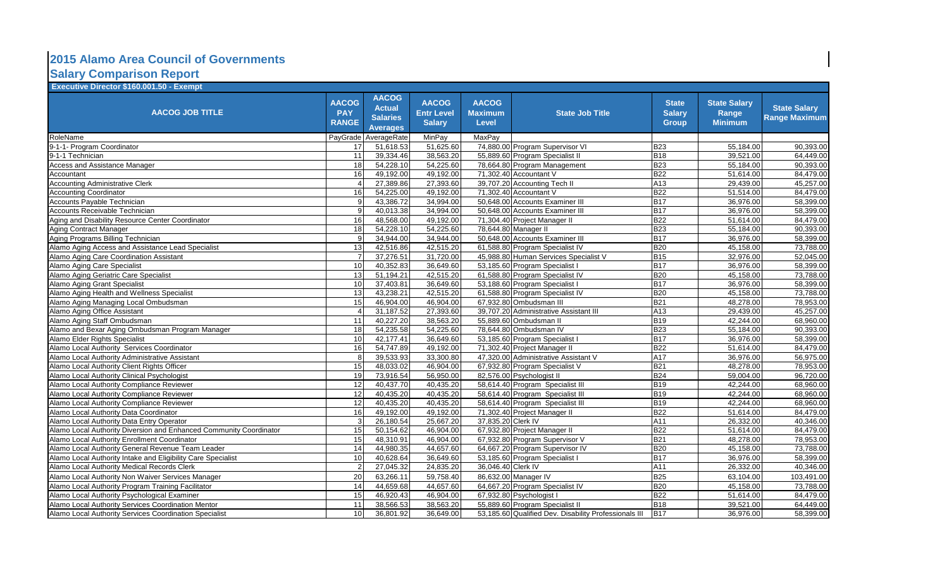## **Salary Comparison Report 2015 Alamo Area Council of Governments**

| <b>Executive Director \$160.001.50 - Exempt</b>                    |                                            |                                                                     |                                                    |                                         |                                                       |                                               |                                                |                                             |
|--------------------------------------------------------------------|--------------------------------------------|---------------------------------------------------------------------|----------------------------------------------------|-----------------------------------------|-------------------------------------------------------|-----------------------------------------------|------------------------------------------------|---------------------------------------------|
| <b>AACOG JOB TITLE</b>                                             | <b>AACOG</b><br><b>PAY</b><br><b>RANGE</b> | <b>AACOG</b><br><b>Actual</b><br><b>Salaries</b><br><b>Averages</b> | <b>AACOG</b><br><b>Entr Level</b><br><b>Salary</b> | <b>AACOG</b><br><b>Maximum</b><br>Level | <b>State Job Title</b>                                | <b>State</b><br><b>Salary</b><br><b>Group</b> | <b>State Salary</b><br>Range<br><b>Minimum</b> | <b>State Salary</b><br><b>Range Maximum</b> |
| RoleName                                                           | PayGrade                                   | AverageRate                                                         | MinPay                                             | MaxPay                                  |                                                       |                                               |                                                |                                             |
| 9-1-1- Program Coordinator                                         | 17                                         | 51,618.53                                                           | 51,625.60                                          |                                         | 74,880.00 Program Supervisor VI                       | <b>B23</b>                                    | 55,184.00                                      | 90,393.00                                   |
| 9-1-1 Technician                                                   | 11                                         | 39,334.46                                                           | 38,563.20                                          |                                         | 55,889.60 Program Specialist II                       | <b>B18</b>                                    | 39,521.00                                      | 64,449.00                                   |
| Access and Assistance Manager                                      | 18                                         | 54,228.10                                                           | 54,225.60                                          |                                         | 78,664.80 Program Management                          | <b>B23</b>                                    | 55,184.00                                      | 90,393.00                                   |
| <b>Accountant</b>                                                  | 16                                         | 49.192.00                                                           | 49.192.00                                          |                                         | 71.302.40 Accountant V                                | <b>B22</b>                                    | 51.614.00                                      | 84.479.00                                   |
| <b>Accounting Administrative Clerk</b>                             |                                            | 27,389.86                                                           | 27,393.60                                          |                                         | 39,707.20 Accounting Tech II                          | A13                                           | 29,439.00                                      | 45,257.00                                   |
| <b>Accounting Coordinator</b>                                      | 16                                         | 54,225.00                                                           | 49,192.00                                          |                                         | 71,302.40 Accountant V                                | <b>B22</b>                                    | 51,514.00                                      | 84,479.00                                   |
| Accounts Payable Technician                                        |                                            | 43,386.72                                                           | 34,994.00                                          |                                         | 50.648.00 Accounts Examiner III                       | <b>B17</b>                                    | 36,976.00                                      | 58,399.00                                   |
| Accounts Receivable Technician                                     | q                                          | 40,013.38                                                           | 34,994.00                                          |                                         | 50,648.00 Accounts Examiner III                       | <b>B17</b>                                    | 36,976.00                                      | 58,399.00                                   |
| Aging and Disability Resource Center Coordinator                   | 16                                         | 48,568.00                                                           | 49,192.00                                          |                                         | 71,304.40 Project Manager II                          | <b>B22</b>                                    | 51,614.00                                      | 84,479.00                                   |
| <b>Aging Contract Manager</b>                                      | 18                                         | 54,228.10                                                           | 54,225.60                                          |                                         | 78,644.80 Manager II                                  | <b>B23</b>                                    | 55,184.00                                      | 90,393.00                                   |
| Aging Programs Billing Technician                                  | $\mathbf{Q}$                               | 34,944.00                                                           | 34,944.00                                          |                                         | 50,648.00 Accounts Examiner III                       | <b>B17</b>                                    | 36,976.00                                      | 58,399.00                                   |
| Alamo Aging Access and Assistance Lead Specialist                  | 13                                         | 42,516.86                                                           | 42,515.20                                          |                                         | 61,588.80 Program Specialist IV                       | <b>B20</b>                                    | 45,158.00                                      | 73,788.00                                   |
| Alamo Aging Care Coordination Assistant                            |                                            | 37,276.51                                                           | 31,720.00                                          |                                         | 45,988.80 Human Services Specialist V                 | <b>B15</b>                                    | 32,976.00                                      | 52,045.00                                   |
| Alamo Aging Care Specialist                                        | 10                                         | 40,352.83                                                           | 36,649.60                                          |                                         | 53,185.60 Program Specialist I                        | <b>B17</b>                                    | 36,976.00                                      | 58,399.00                                   |
| Alamo Aging Geriatric Care Specialist                              | 13                                         | 51,194.21                                                           | 42,515.20                                          |                                         | 61,588.80 Program Specialist IV                       | <b>B20</b>                                    | 45,158.00                                      | 73,788.00                                   |
| Alamo Aging Grant Specialist                                       | 10                                         | 37,403.81                                                           | 36,649.60                                          |                                         | 53,188.60 Program Specialist I                        | <b>B17</b>                                    | 36,976.00                                      | 58,399.00                                   |
| Alamo Aging Health and Wellness Specialist                         | 13                                         | 43,238.21                                                           | 42,515.20                                          |                                         | 61,588.80 Program Specialist IV                       | <b>B20</b>                                    | 45,158.00                                      | 73,788.00                                   |
| Alamo Aging Managing Local Ombudsman                               | 15                                         | 46,904.00                                                           | 46,904.00                                          |                                         | 67,932.80 Ombudsman III                               | <b>B21</b>                                    | 48,278.00                                      | 78,953.00                                   |
| Alamo Aging Office Assistant                                       |                                            | 31,187.52                                                           | 27,393.60                                          |                                         | 39,707.20 Administrative Assistant III                | A13                                           | 29,439.00                                      | 45,257.00                                   |
| Alamo Aging Staff Ombudsman                                        | 11                                         | 40,227.20                                                           | 38,563.20                                          |                                         | 55,889.60 Ombudsman II                                | <b>B19</b>                                    | 42,244.00                                      | 68,960.00                                   |
| Alamo and Bexar Aging Ombudsman Program Manager                    | 18                                         | 54,235.58                                                           | 54,225.60                                          |                                         | 78,644.80 Ombudsman IV                                | <b>B23</b>                                    | 55,184.00                                      | 90,393.00                                   |
| Alamo Elder Rights Specialist                                      | 10                                         | 42,177.41                                                           | 36,649.60                                          |                                         | 53,185.60 Program Specialist I                        | <b>B17</b>                                    | 36,976.00                                      | 58,399.00                                   |
| Alamo Local Authority Services Coordinator                         | 16                                         | 54,747.89                                                           | 49,192.00                                          |                                         | 71,302.40 Project Manager II                          | <b>B22</b>                                    | 51,614.00                                      | 84,479.00                                   |
| Alamo Local Authority Administrative Assistant                     | 8                                          | 39,533.93                                                           | 33,300.80                                          |                                         | 47,320.00 Administrative Assistant V                  | A17                                           | 36,976.00                                      | 56,975.00                                   |
| Alamo Local Authority Client Rights Officer                        | 15                                         | 48,033.02                                                           | 46,904.00                                          |                                         | 67,932.80 Program Specialist V                        | <b>B21</b>                                    | 48,278.00                                      | 78,953.00                                   |
| Alamo Local Authority Clinical Psychologist                        | 19                                         | 73,916.54                                                           | 56,950.00                                          |                                         | 82,576.00 Psychologist II                             | <b>B24</b>                                    | 59.004.00                                      | 96,720.00                                   |
| Alamo Local Authority Compliance Reviewer                          | 12                                         | 40,437.70                                                           | 40,435.20                                          |                                         | 58,614.40 Program Specialist III                      | <b>B19</b>                                    | 42,244.00                                      | 68,960.00                                   |
| Alamo Local Authority Compliance Reviewer                          | 12                                         | 40,435.20                                                           | 40,435.20                                          |                                         | 58,614.40 Program Specialist III                      | <b>B19</b>                                    | 42,244.00                                      | 68,960.00                                   |
| Alamo Local Authority Compliance Reviewer                          | 12                                         | 40,435.20                                                           | 40,435.20                                          |                                         | 58,614.40 Program Specialist III                      | <b>B19</b>                                    | 42,244.00                                      | 68,960.00                                   |
| Alamo Local Authority Data Coordinator                             | 16                                         | 49,192.00                                                           | 49,192.00                                          |                                         | 71,302.40 Project Manager II                          | <b>B22</b>                                    | 51,614.00                                      | 84,479.00                                   |
| Alamo Local Authority Data Entry Operator                          | 3                                          | $\overline{26,180.54}$                                              | 25,667.20                                          | 37,835.20 Clerk IV                      |                                                       | A11                                           | 26,332.00                                      | 40,346.00                                   |
| Alamo Local Authority Diversion and Enhanced Community Coordinator | 15                                         | 50,154.62                                                           | 46,904.00                                          |                                         | 67,932.80 Project Manager II                          | <b>B22</b>                                    | 51,614.00                                      | 84,479.00                                   |
| Alamo Local Authority Enrollment Coordinator                       | 15                                         | 48,310.91                                                           | 46,904.00                                          |                                         | 67,932.80 Program Supervisor V                        | <b>B21</b>                                    | 48,278.00                                      | 78,953.00                                   |
| Alamo Local Authority General Revenue Team Leader                  | 14                                         | 44,980.35                                                           | 44,657.60                                          |                                         | 64,667.20 Program Supervisor IV                       | <b>B20</b>                                    | 45,158.00                                      | 73,788.00                                   |
| Alamo Local Authority Intake and Eligibility Care Specialist       | 10                                         | 40,628.64                                                           | 36,649.60                                          |                                         | 53,185.60 Program Specialist I                        | <b>B17</b>                                    | 36,976.00                                      | 58,399.00                                   |
| Alamo Local Authority Medical Records Clerk                        | $\mathcal{P}$                              | 27,045.32                                                           | 24,835.20                                          | 36,046.40 Clerk IV                      |                                                       | A11                                           | 26,332.00                                      | 40,346.00                                   |
| Alamo Local Authority Non Waiver Services Manager                  | 20                                         | 63,266.11                                                           | 59,758.40                                          |                                         | 86,632.00 Manager IV                                  | <b>B25</b>                                    | 63,104.00                                      | 103,491.00                                  |
| Alamo Local Authority Program Training Facilitator                 | 14                                         | 44,659.68                                                           | 44,657.60                                          |                                         | 64,667.20 Program Specialist IV                       | <b>B20</b>                                    | 45,158.00                                      | 73,788.00                                   |
| Alamo Local Authority Psychological Examiner                       | 15                                         | 46,920.43                                                           | 46,904.00                                          |                                         | 67,932.80 Psychologist I                              | <b>B22</b>                                    | 51,614.00                                      | 84,479.00                                   |
| Alamo Local Authority Services Coordination Mentor                 | 11                                         | 38,566.53                                                           | 38,563.20                                          |                                         | 55,889.60 Program Specialist II                       | <b>B18</b>                                    | 39,521.00                                      | 64,449.00                                   |
| Alamo Local Authority Services Coordination Specialist             | 10 <sup>1</sup>                            | 36,801.92                                                           | 36,649.00                                          |                                         | 53.185.60 Qualified Dev. Disability Professionals III | <b>B17</b>                                    | 36,976.00                                      | 58,399.00                                   |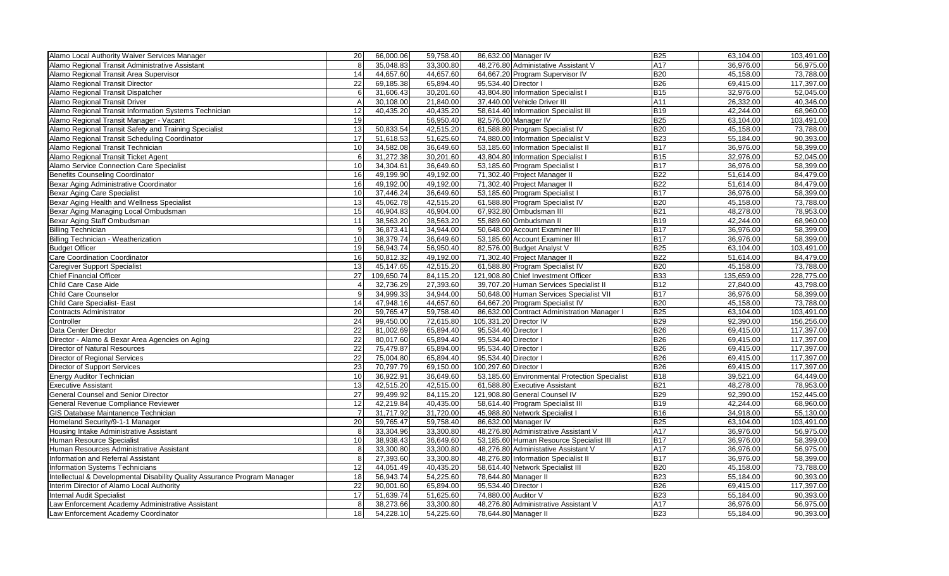| Alamo Local Authority Waiver Services Manager                             | 20           | 66,000.06  | 59,758.40 |                       | 86,632.00 Manager IV                          | <b>B25</b>       | 63,104.00  | 103,491.00 |
|---------------------------------------------------------------------------|--------------|------------|-----------|-----------------------|-----------------------------------------------|------------------|------------|------------|
| Alamo Regional Transit Administrative Assistant                           |              | 35,048.83  | 33,300.80 |                       | 48,276.80 Administative Assistant V           | $\overline{A17}$ | 36,976.00  | 56,975.00  |
| Alamo Regional Transit Area Supervisor                                    | 14           | 44,657.60  | 44,657.60 |                       | 64,667.20 Program Supervisor IV               | <b>B20</b>       | 45,158.00  | 73,788.00  |
| Alamo Regional Transit Director                                           | 22           | 69,185.38  | 65,894.40 |                       | 95,534.40 Director I                          | <b>B26</b>       | 69,415.00  | 117,397.00 |
| Alamo Regional Transit Dispatcher                                         | 6            | 31,606.43  | 30,201.60 |                       | 43,804.80 Information Specialist I            | <b>B15</b>       | 32,976.00  | 52,045.00  |
| Alamo Regional Transit Driver                                             | A            | 30,108.00  | 21,840.00 |                       | 37,440.00 Vehicle Driver III                  | A11              | 26,332.00  | 40,346.00  |
| Alamo Regional Transit Information Systems Technician                     | 12           | 40,435.20  | 40,435.20 |                       | 58,614.40 Information Specialist III          | <b>B19</b>       | 42,244.00  | 68,960.00  |
| Alamo Regional Transit Manager - Vacant                                   | 19           |            | 56,950.40 |                       | 82,576.00 Manager IV                          | <b>B25</b>       | 63,104.00  | 103,491.00 |
| Alamo Regional Transit Safety and Training Specialist                     | 13           | 50,833.54  | 42,515.20 |                       | 61,588.80 Program Specialist IV               | <b>B20</b>       | 45,158.00  | 73,788.00  |
| Alamo Regional Transit Scheduling Coordinator                             | 17           | 51,618.53  | 51,625.60 |                       | 74,880.00 Information Specialist V            | <b>B23</b>       | 55,184.00  | 90,393.00  |
| Alamo Regional Transit Technician                                         | 10           | 34,582.08  | 36,649.60 |                       | 53,185.60 Information Specialist II           | <b>B17</b>       | 36,976.00  | 58,399.00  |
| Alamo Regional Transit Ticket Agent                                       |              | 31,272.38  | 30,201.60 |                       | 43,804.80 Information Specialist I            | <b>B15</b>       | 32,976.00  | 52,045.00  |
| Alamo Service Connection Care Specialist                                  | 10           | 34,304.61  | 36,649.60 |                       | 53,185.60 Program Specialist I                | <b>B17</b>       | 36,976.00  | 58,399.00  |
| <b>Benefits Counseling Coordinator</b>                                    | 16           | 49,199.90  | 49,192.00 |                       | 71,302.40 Project Manager II                  | <b>B22</b>       | 51,614.00  | 84,479.00  |
| Bexar Aging Administrative Coordinator                                    | 16           | 49,192.00  | 49,192.00 |                       | 71,302.40 Project Manager II                  | <b>B22</b>       | 51,614.00  | 84,479.00  |
| <b>Bexar Aging Care Specialist</b>                                        | 10           | 37,446.24  | 36,649.60 |                       | 53,185.60 Program Specialist I                | <b>B17</b>       | 36,976.00  | 58,399.00  |
| Bexar Aging Health and Wellness Specialist                                | 13           | 45,062.78  | 42,515.20 |                       | 61,588.80 Program Specialist IV               | <b>B20</b>       | 45,158.00  | 73,788.00  |
| Bexar Aging Managing Local Ombudsman                                      | 15           | 46,904.83  | 46,904.00 |                       | 67,932.80 Ombudsman III                       | <b>B21</b>       | 48,278.00  | 78,953.00  |
| Bexar Aging Staff Ombudsman                                               | 11           | 38,563.20  | 38,563.20 |                       | 55,889.60 Ombudsman II                        | <b>B19</b>       | 42,244.00  | 68,960.00  |
| <b>Billing Technician</b>                                                 | 9            | 36,873.41  | 34,944.00 |                       | 50,648.00 Account Examiner III                | <b>B17</b>       | 36,976.00  | 58,399.00  |
| <b>Billing Technician - Weatherization</b>                                | 10           | 38,379.74  | 36,649.60 |                       | 53,185.60 Account Examiner III                | <b>B17</b>       | 36,976.00  | 58,399.00  |
| <b>Budget Officer</b>                                                     | 19           | 56,943.74  | 56,950.40 |                       | 82,576.00 Budget Analyst V                    | <b>B25</b>       | 63,104.00  | 103,491.00 |
| Care Coordination Coordinator                                             | 16           | 50,812.32  | 49,192.00 |                       | 71,302.40 Project Manager II                  | <b>B22</b>       | 51,614.00  | 84,479.00  |
| Caregiver Support Specialist                                              | 13           | 45,147.65  | 42,515.20 |                       | 61,588.80 Program Specialist IV               | <b>B20</b>       | 45,158.00  | 73,788.00  |
| <b>Chief Financial Officer</b>                                            | 27           | 109,650.74 | 84,115.20 |                       | 121,908.80 Chief Investment Officer           | <b>B33</b>       | 135,659.00 | 228,775.00 |
| Child Care Case Aide                                                      |              | 32,736.29  | 27,393.60 |                       | 39,707.20 Human Services Specialist II        | <b>B12</b>       | 27,840.00  | 43,798.00  |
| <b>Child Care Counselor</b>                                               |              | 34,999.33  | 34,944.00 |                       | 50,648.00 Human Services Specialist VII       | <b>B17</b>       | 36,976.00  | 58,399.00  |
| Child Care Specialist- East                                               | 14           | 47,948.16  | 44,657.60 |                       | 64,667.20 Program Specialist IV               | <b>B20</b>       | 45,158.00  | 73,788.00  |
| Contracts Administrator                                                   | 20           | 59,765.47  | 59,758.40 |                       | 86,632.00 Contract Administration Manager I   | <b>B25</b>       | 63,104.00  | 103,491.00 |
| Controller                                                                | 24           | 99,450.00  | 72,615.80 |                       | 105,331.20 Director IV                        | <b>B29</b>       | 92,390.00  | 156,256.00 |
| Data Center Director                                                      | 22           | 81,002.69  | 65,894.40 | 95,534.40 Director I  |                                               | <b>B26</b>       | 69,415.00  | 117,397.00 |
| Director - Alamo & Bexar Area Agencies on Aging                           | 22           | 80,017.60  | 65,894.40 | 95,534.40 Director I  |                                               | <b>B26</b>       | 69,415.00  | 117,397.00 |
| <b>Director of Natural Resources</b>                                      | 22           | 75,479.87  | 65,894.00 | 95,534.40 Director I  |                                               | <b>B26</b>       | 69,415.00  | 117,397.00 |
| Director of Regional Services                                             | 22           | 75,004.80  | 65,894.40 | 95,534.40 Director I  |                                               | <b>B26</b>       | 69,415.00  | 117,397.00 |
| Director of Support Services                                              | 23           | 70,797.79  | 69,150.00 | 100,297.60 Director I |                                               | <b>B26</b>       | 69,415.00  | 117,397.00 |
| <b>Energy Auditor Technician</b>                                          | 10           | 36,922.91  | 36,649.60 |                       | 53,185.60 Environmental Protection Specialist | <b>B18</b>       | 39,521.00  | 64,449.00  |
| Executive Assistant                                                       | 13           | 42,515.20  | 42,515.00 |                       | 61,588.80 Executive Assistant                 | <b>B21</b>       | 48,278.00  | 78,953.00  |
| General Counsel and Senior Director                                       | 27           | 99,499.92  | 84,115.20 |                       | 121,908.80 General Counsel IV                 | <b>B29</b>       | 92,390.00  | 152,445.00 |
| General Revenue Compliance Reviewer                                       | 12           | 42,219.84  | 40.435.00 |                       | 58,614.40 Program Specialist III              | <b>B19</b>       | 42.244.00  | 68,960.00  |
| GIS Database Maintanence Technician                                       |              | 31,717.92  | 31,720.00 |                       | 45,988.80 Network Specialist I                | <b>B16</b>       | 34,918.00  | 55,130.00  |
| Homeland Security/9-1-1 Manager                                           | 20           | 59,765.47  | 59,758.40 |                       | 86,632.00 Manager IV                          | <b>B25</b>       | 63,104.00  | 103,491.00 |
| Housing Intake Administrative Assistant                                   |              | 33,304.96  | 33,300.80 |                       | 48,276.80 Administrative Assistant V          | A17              | 36,976.00  | 56,975.00  |
| Human Resource Specialist                                                 | 10           | 38,938.43  | 36,649.60 |                       | 53,185.60 Human Resource Specialist III       | $\overline{B17}$ | 36,976.00  | 58,399.00  |
| Human Resources Administrative Assistant                                  |              | 33,300.80  | 33,300.80 |                       | 48,276.80 Administative Assistant V           | A17              | 36,976.00  | 56,975.00  |
| Information and Referral Assistant                                        | $\mathsf{R}$ | 27,393.60  | 33,300.80 |                       | 48,276.80 Information Specialist II           | <b>B17</b>       | 36,976.00  | 58,399.00  |
| Information Systems Technicians                                           | 12           | 44,051.49  | 40,435.20 |                       | 58,614.40 Network Specialist III              | <b>B20</b>       | 45,158.00  | 73,788.00  |
| Intellectual & Developmental Disability Quality Assurance Program Manager | 18           | 56,943.74  | 54,225.60 |                       | 78,644.80 Manager II                          | <b>B23</b>       | 55,184.00  | 90,393.00  |
| Interim Director of Alamo Local Authority                                 | 22           | 90,001.60  | 65,894.00 | 95,534.40 Director I  |                                               | <b>B26</b>       | 69,415.00  | 117,397.00 |
| Internal Audit Specialist                                                 | 17           | 51,639.74  | 51,625.60 |                       | 74,880.00 Auditor V                           | <b>B23</b>       | 55,184.00  | 90,393.00  |
| Law Enforcement Academy Administrative Assistant                          |              | 38,273.66  | 33,300.80 |                       | 48,276.80 Administrative Assistant V          | A17              | 36,976.00  | 56,975.00  |
| Law Enforcement Academy Coordinator                                       | 18           | 54,228.10  | 54,225.60 |                       | 78,644.80 Manager II                          | <b>B23</b>       | 55,184.00  | 90,393.00  |